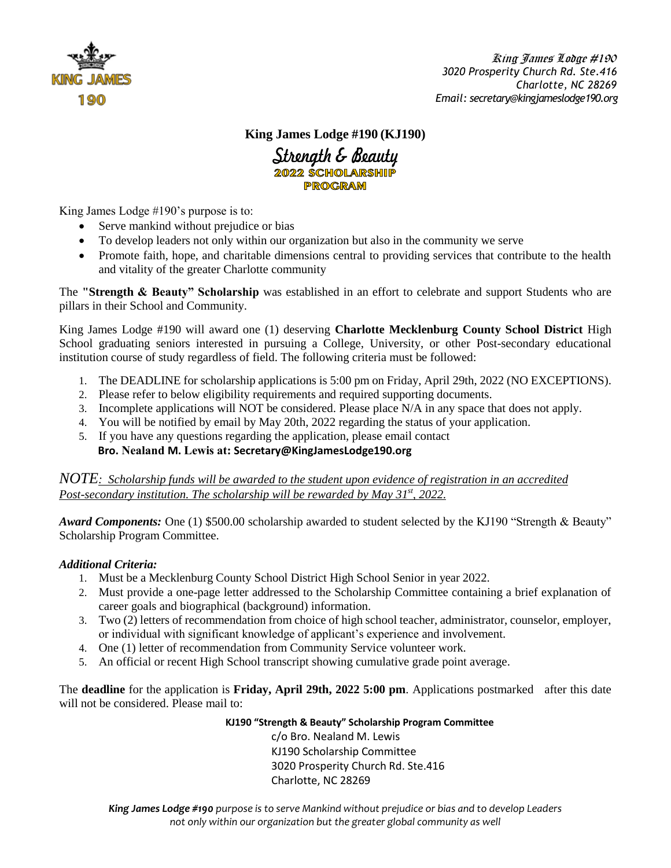

### **King James Lodge #190 (KJ190)**

Strength & Beauty **PROGRAM** 

King James Lodge #190's purpose is to:

- Serve mankind without prejudice or bias
- To develop leaders not only within our organization but also in the community we serve
- Promote faith, hope, and charitable dimensions central to providing services that contribute to the health and vitality of the greater Charlotte community

The **"Strength & Beauty" Scholarship** was established in an effort to celebrate and support Students who are pillars in their School and Community.

King James Lodge #190 will award one (1) deserving **Charlotte Mecklenburg County School District** High School graduating seniors interested in pursuing a College, University, or other Post-secondary educational institution course of study regardless of field. The following criteria must be followed:

- 1. The DEADLINE for scholarship applications is 5:00 pm on Friday, April 29th, 2022 (NO EXCEPTIONS).
- 2. Please refer to below eligibility requirements and required supporting documents.
- 3. Incomplete applications will NOT be considered. Please place N/A in any space that does not apply.
- 4. You will be notified by email by May 20th, 2022 regarding the status of your application.
- 5. If you have any questions regarding the application, please email contact  **Bro. Nealand M. Lewis at: Secretary@KingJamesLodge190.org**

*NOTE: Scholarship funds will be awarded to the student upon evidence of registration in an accredited Post-secondary institution. The scholarship will be rewarded by May 31st, 2022.*

*Award Components:* One (1) \$500.00 scholarship awarded to student selected by the KJ190 "Strength & Beauty" Scholarship Program Committee.

#### *Additional Criteria:*

- 1. Must be a Mecklenburg County School District High School Senior in year 2022.
- 2. Must provide a one-page letter addressed to the Scholarship Committee containing a brief explanation of career goals and biographical (background) information.
- 3. Two (2) letters of recommendation from choice of high school teacher, administrator, counselor, employer, or individual with significant knowledge of applicant's experience and involvement.
- 4. One (1) letter of recommendation from Community Service volunteer work.
- 5. An official or recent High School transcript showing cumulative grade point average.

The **deadline** for the application is **Friday, April 29th, 2022 5:00 pm**. Applications postmarked after this date will not be considered. Please mail to:

> **KJ190 "Strength & Beauty" Scholarship Program Committee** c/o Bro. Nealand M. Lewis KJ190 Scholarship Committee 3020 Prosperity Church Rd. Ste.416 Charlotte, NC 28269

*King James Lodge #190 purpose is to serve Mankind without prejudice or bias and to develop Leaders not only within our organization but the greater global community as well*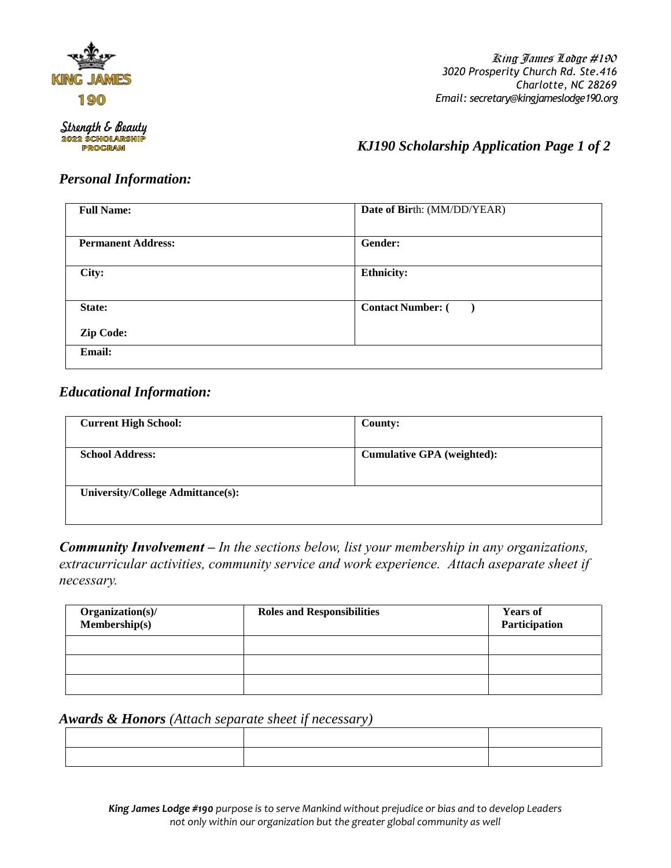

 King James Lodge #190  *3020 Prosperity Church Rd. Ste.416 Charlotte, NC 28269 Email: secretary@kingjameslodge190.org*

Strength & Beauty **2022 SCHOLARSHIP PROGRAM** 

 *KJ190 Scholarship Application Page 1 of 2*

# *Personal Information:*

| <b>Full Name:</b>         | Date of Birth: (MM/DD/YEAR)                          |
|---------------------------|------------------------------------------------------|
|                           |                                                      |
| <b>Permanent Address:</b> | Gender:                                              |
|                           |                                                      |
| City:                     | <b>Ethnicity:</b>                                    |
|                           |                                                      |
| State:                    | <b>Contact Number: (</b><br>$\overline{\phantom{a}}$ |
| <b>Zip Code:</b>          |                                                      |
|                           |                                                      |
| <b>Email:</b>             |                                                      |
|                           |                                                      |

## *Educational Information:*

| <b>Current High School:</b>              | County:                           |
|------------------------------------------|-----------------------------------|
| <b>School Address:</b>                   | <b>Cumulative GPA</b> (weighted): |
| <b>University/College Admittance(s):</b> |                                   |

*Community Involvement – In the sections below, list your membership in any organizations, extracurricular activities, community service and work experience. Attach aseparate sheet if necessary.*

| Organization(s)/<br>$Membership(s)$ | <b>Roles and Responsibilities</b> | <b>Years of</b><br>Participation |
|-------------------------------------|-----------------------------------|----------------------------------|
|                                     |                                   |                                  |
|                                     |                                   |                                  |
|                                     |                                   |                                  |

*Awards & Honors (Attach separate sheet if necessary)*

*King James Lodge #190 purpose is to serve Mankind without prejudice or bias and to develop Leaders not only within our organization but the greater global community as well*